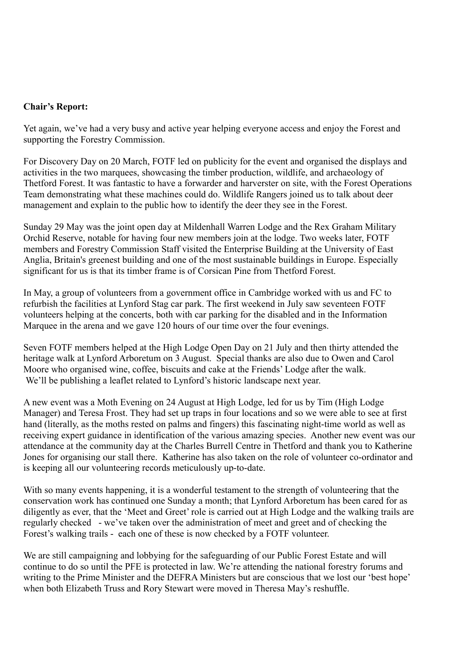## **Chair's Report:**

Yet again, we've had a very busy and active year helping everyone access and enjoy the Forest and supporting the Forestry Commission.

For Discovery Day on 20 March, FOTF led on publicity for the event and organised the displays and activities in the two marquees, showcasing the timber production, wildlife, and archaeology of Thetford Forest. It was fantastic to have a forwarder and harverster on site, with the Forest Operations Team demonstrating what these machines could do. Wildlife Rangers joined us to talk about deer management and explain to the public how to identify the deer they see in the Forest.

Sunday 29 May was the joint open day at Mildenhall Warren Lodge and the Rex Graham Military Orchid Reserve, notable for having four new members join at the lodge. Two weeks later, FOTF members and Forestry Commission Staff visited the Enterprise Building at the University of East Anglia, Britain's greenest building and one of the most sustainable buildings in Europe. Especially significant for us is that its timber frame is of Corsican Pine from Thetford Forest.

In May, a group of volunteers from a government office in Cambridge worked with us and FC to refurbish the facilities at Lynford Stag car park. The first weekend in July saw seventeen FOTF volunteers helping at the concerts, both with car parking for the disabled and in the Information Marquee in the arena and we gave 120 hours of our time over the four evenings.

Seven FOTF members helped at the High Lodge Open Day on 21 July and then thirty attended the heritage walk at Lynford Arboretum on 3 August. Special thanks are also due to Owen and Carol Moore who organised wine, coffee, biscuits and cake at the Friends' Lodge after the walk. We'll be publishing a leaflet related to Lynford's historic landscape next year.

A new event was a Moth Evening on 24 August at High Lodge, led for us by Tim (High Lodge Manager) and Teresa Frost. They had set up traps in four locations and so we were able to see at first hand (literally, as the moths rested on palms and fingers) this fascinating night-time world as well as receiving expert guidance in identification of the various amazing species. Another new event was our attendance at the community day at the Charles Burrell Centre in Thetford and thank you to Katherine Jones for organising our stall there. Katherine has also taken on the role of volunteer co-ordinator and is keeping all our volunteering records meticulously up-to-date.

With so many events happening, it is a wonderful testament to the strength of volunteering that the conservation work has continued one Sunday a month; that Lynford Arboretum has been cared for as diligently as ever, that the 'Meet and Greet' role is carried out at High Lodge and the walking trails are regularly checked - we've taken over the administration of meet and greet and of checking the Forest's walking trails - each one of these is now checked by a FOTF volunteer.

We are still campaigning and lobbying for the safeguarding of our Public Forest Estate and will continue to do so until the PFE is protected in law. We're attending the national forestry forums and writing to the Prime Minister and the DEFRA Ministers but are conscious that we lost our 'best hope' when both Elizabeth Truss and Rory Stewart were moved in Theresa May's reshuffle.